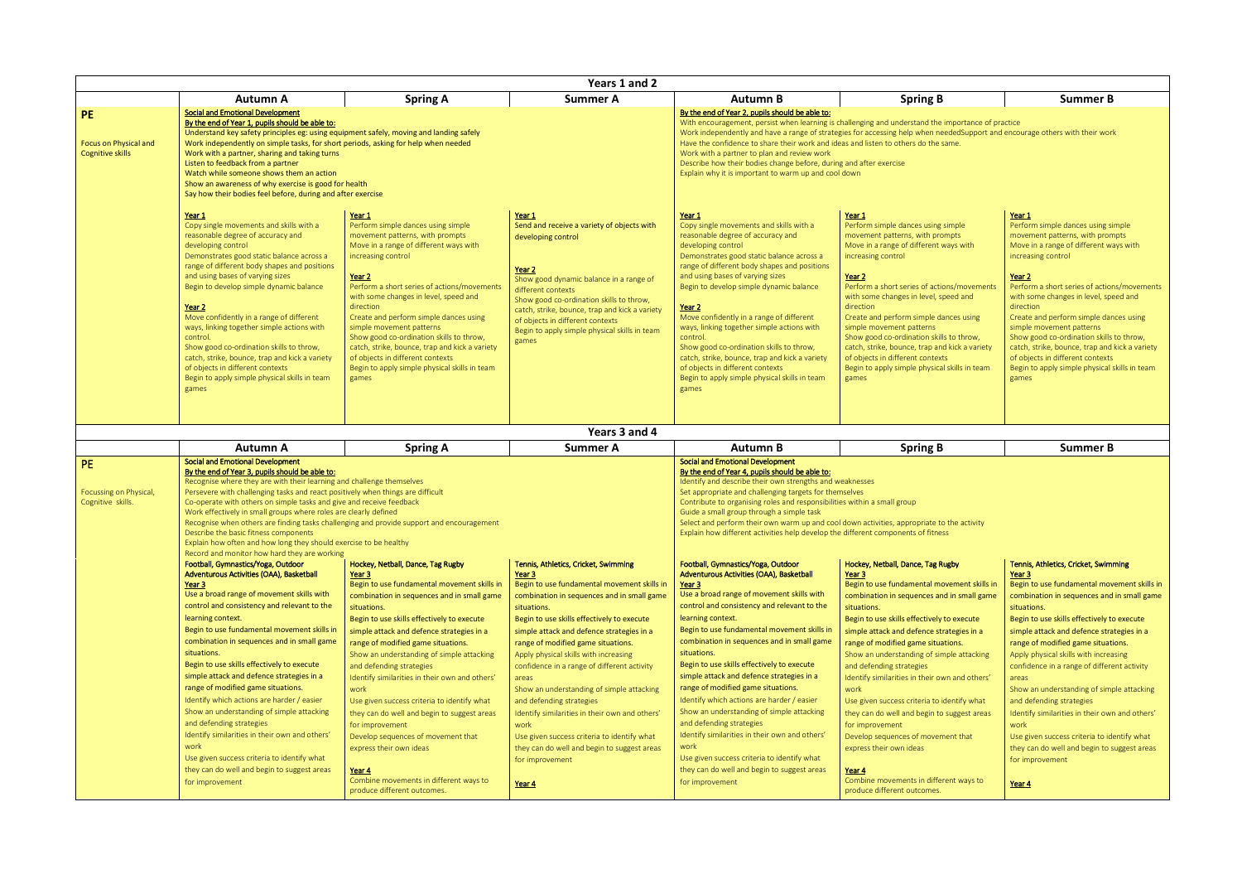| Years 1 and 2                |                                                                                                                     |                                                                       |                                                                                    |                                                                                            |                                                                                                                              |                                                                  |  |
|------------------------------|---------------------------------------------------------------------------------------------------------------------|-----------------------------------------------------------------------|------------------------------------------------------------------------------------|--------------------------------------------------------------------------------------------|------------------------------------------------------------------------------------------------------------------------------|------------------------------------------------------------------|--|
|                              | Autumn A                                                                                                            | <b>Spring A</b>                                                       | <b>Summer A</b>                                                                    | <b>Autumn B</b>                                                                            | <b>Spring B</b>                                                                                                              | <b>Summer B</b>                                                  |  |
| <b>PE</b>                    | <b>Social and Emotional Development</b>                                                                             |                                                                       |                                                                                    | By the end of Year 2, pupils should be able to:                                            |                                                                                                                              |                                                                  |  |
|                              | By the end of Year 1, pupils should be able to:                                                                     |                                                                       |                                                                                    |                                                                                            | With encouragement, persist when learning is challenging and understand the importance of practice                           |                                                                  |  |
|                              | Understand key safety principles eg: using equipment safely, moving and landing safely                              |                                                                       |                                                                                    |                                                                                            | Work independently and have a range of strategies for accessing help when neededSupport and encourage others with their work |                                                                  |  |
| <b>Focus on Physical and</b> | Work independently on simple tasks, for short periods, asking for help when needed                                  |                                                                       |                                                                                    | Have the confidence to share their work and ideas and listen to others do the same.        |                                                                                                                              |                                                                  |  |
| <b>Cognitive skills</b>      | Work with a partner, sharing and taking turns                                                                       |                                                                       |                                                                                    | Work with a partner to plan and review work                                                |                                                                                                                              |                                                                  |  |
|                              | Listen to feedback from a partner                                                                                   |                                                                       |                                                                                    | Describe how their bodies change before, during and after exercise                         |                                                                                                                              |                                                                  |  |
|                              | Watch while someone shows them an action                                                                            |                                                                       |                                                                                    | Explain why it is important to warm up and cool down                                       |                                                                                                                              |                                                                  |  |
|                              | Show an awareness of why exercise is good for health<br>Say how their bodies feel before, during and after exercise |                                                                       |                                                                                    |                                                                                            |                                                                                                                              |                                                                  |  |
|                              | Year 1                                                                                                              | Year 1                                                                | Year 1                                                                             | Year 1                                                                                     | Year 1                                                                                                                       | Year 1                                                           |  |
|                              | Copy single movements and skills with a                                                                             | Perform simple dances using simple                                    | Send and receive a variety of objects with                                         | Copy single movements and skills with a                                                    | Perform simple dances using simple                                                                                           | Perform simple dances using simple                               |  |
|                              | reasonable degree of accuracy and                                                                                   | movement patterns, with prompts                                       | developing control                                                                 | reasonable degree of accuracy and                                                          | movement patterns, with prompts                                                                                              | movement patterns, with prompts                                  |  |
|                              | developing control                                                                                                  | Move in a range of different ways with                                |                                                                                    | developing control                                                                         | Move in a range of different ways with                                                                                       | Move in a range of different ways with                           |  |
|                              | Demonstrates good static balance across a                                                                           | increasing control                                                    |                                                                                    | Demonstrates good static balance across a                                                  | increasing control                                                                                                           | increasing control                                               |  |
|                              | range of different body shapes and positions                                                                        |                                                                       | Year 2                                                                             | range of different body shapes and positions                                               |                                                                                                                              |                                                                  |  |
|                              | and using bases of varying sizes<br>Begin to develop simple dynamic balance                                         | Year <sub>2</sub><br>Perform a short series of actions/movements      | Show good dynamic balance in a range of                                            | and using bases of varying sizes<br>Begin to develop simple dynamic balance                | Year <sub>2</sub><br>Perform a short series of actions/movements                                                             | Year <sub>2</sub><br>Perform a short series of actions/movements |  |
|                              |                                                                                                                     | with some changes in level, speed and                                 | different contexts                                                                 |                                                                                            | with some changes in level, speed and                                                                                        | with some changes in level, speed and                            |  |
|                              | Year 2                                                                                                              | direction                                                             | Show good co-ordination skills to throw,                                           | Year 2                                                                                     | direction                                                                                                                    | direction                                                        |  |
|                              | Move confidently in a range of different                                                                            | Create and perform simple dances using                                | catch, strike, bounce, trap and kick a variety<br>of objects in different contexts | Move confidently in a range of different                                                   | Create and perform simple dances using                                                                                       | Create and perform simple dances using                           |  |
|                              | ways, linking together simple actions with                                                                          | simple movement patterns                                              | Begin to apply simple physical skills in team                                      | ways, linking together simple actions with                                                 | simple movement patterns                                                                                                     | simple movement patterns                                         |  |
|                              | control.                                                                                                            | Show good co-ordination skills to throw.                              | games                                                                              | control.                                                                                   | Show good co-ordination skills to throw,                                                                                     | Show good co-ordination skills to throw,                         |  |
|                              | Show good co-ordination skills to throw,                                                                            | catch, strike, bounce, trap and kick a variety                        |                                                                                    | Show good co-ordination skills to throw,                                                   | catch, strike, bounce, trap and kick a variety                                                                               | catch, strike, bounce, trap and kick a variety                   |  |
|                              | catch, strike, bounce, trap and kick a variety                                                                      | of objects in different contexts                                      |                                                                                    | catch, strike, bounce, trap and kick a variety                                             | of objects in different contexts                                                                                             | of objects in different contexts                                 |  |
|                              | of objects in different contexts<br>Begin to apply simple physical skills in team                                   | Begin to apply simple physical skills in team                         |                                                                                    | of objects in different contexts<br>Begin to apply simple physical skills in team          | Begin to apply simple physical skills in team                                                                                | Begin to apply simple physical skills in team                    |  |
|                              | games                                                                                                               | games                                                                 |                                                                                    | games                                                                                      | games                                                                                                                        | games                                                            |  |
|                              |                                                                                                                     |                                                                       |                                                                                    |                                                                                            |                                                                                                                              |                                                                  |  |
|                              |                                                                                                                     |                                                                       |                                                                                    |                                                                                            |                                                                                                                              |                                                                  |  |
|                              |                                                                                                                     |                                                                       |                                                                                    |                                                                                            |                                                                                                                              |                                                                  |  |
|                              |                                                                                                                     |                                                                       | Years 3 and 4                                                                      |                                                                                            |                                                                                                                              |                                                                  |  |
|                              |                                                                                                                     |                                                                       |                                                                                    |                                                                                            |                                                                                                                              |                                                                  |  |
|                              | <b>Autumn A</b>                                                                                                     |                                                                       | <b>Summer A</b>                                                                    | <b>Autumn B</b>                                                                            | <b>Spring B</b>                                                                                                              | <b>Summer B</b>                                                  |  |
|                              | <b>Social and Emotional Development</b>                                                                             | <b>Spring A</b>                                                       |                                                                                    | <b>Social and Emotional Development</b>                                                    |                                                                                                                              |                                                                  |  |
| PE.                          | By the end of Year 3, pupils should be able to:                                                                     |                                                                       |                                                                                    | By the end of Year 4, pupils should be able to:                                            |                                                                                                                              |                                                                  |  |
|                              | Recognise where they are with their learning and challenge themselves                                               |                                                                       |                                                                                    | Identify and describe their own strengths and weaknesses                                   |                                                                                                                              |                                                                  |  |
| Focussing on Physical,       | Persevere with challenging tasks and react positively when things are difficult                                     |                                                                       |                                                                                    | Set appropriate and challenging targets for themselves                                     |                                                                                                                              |                                                                  |  |
| Cognitive skills.            | Co-operate with others on simple tasks and give and receive feedback                                                |                                                                       |                                                                                    | Contribute to organising roles and responsibilities within a small group                   |                                                                                                                              |                                                                  |  |
|                              | Work effectively in small groups where roles are clearly defined                                                    |                                                                       |                                                                                    | Guide a small group through a simple task                                                  |                                                                                                                              |                                                                  |  |
|                              | Recognise when others are finding tasks challenging and provide support and encouragement                           |                                                                       |                                                                                    | Select and perform their own warm up and cool down activities, appropriate to the activity |                                                                                                                              |                                                                  |  |
|                              | Describe the basic fitness components<br>Explain how often and how long they should exercise to be healthy          |                                                                       |                                                                                    | Explain how different activities help develop the different components of fitness          |                                                                                                                              |                                                                  |  |
|                              | Record and monitor how hard they are working                                                                        |                                                                       |                                                                                    |                                                                                            |                                                                                                                              |                                                                  |  |
|                              | Football, Gymnastics/Yoga, Outdoor                                                                                  | Hockey, Netball, Dance, Tag Rugby                                     | Tennis, Athletics, Cricket, Swimming                                               | Football, Gymnastics/Yoga, Outdoor                                                         | Hockey, Netball, Dance, Tag Rugby                                                                                            | Tennis, Athletics, Cricket, Swimming                             |  |
|                              | Adventurous Activities (OAA), Basketball                                                                            | Year 3                                                                | Year <sub>3</sub>                                                                  | Adventurous Activities (OAA), Basketball                                                   | Year 3                                                                                                                       | <u>Year 3</u>                                                    |  |
|                              | Year 3                                                                                                              | Begin to use fundamental movement skills in                           | Begin to use fundamental movement skills in                                        | Year 3                                                                                     | Begin to use fundamental movement skills in                                                                                  | Begin to use fundamental movement skills in                      |  |
|                              | Use a broad range of movement skills with                                                                           | combination in sequences and in small game                            | combination in sequences and in small game                                         | Use a broad range of movement skills with                                                  | combination in sequences and in small game                                                                                   | combination in sequences and in small game                       |  |
|                              | control and consistency and relevant to the                                                                         | situations.                                                           | situations.                                                                        | control and consistency and relevant to the                                                | situations.                                                                                                                  | situations.                                                      |  |
|                              | learning context.                                                                                                   | Begin to use skills effectively to execute                            | Begin to use skills effectively to execute                                         | learning context.                                                                          | Begin to use skills effectively to execute                                                                                   | Begin to use skills effectively to execute                       |  |
|                              | Begin to use fundamental movement skills in                                                                         | simple attack and defence strategies in a                             | simple attack and defence strategies in a                                          | Begin to use fundamental movement skills in                                                | simple attack and defence strategies in a                                                                                    | simple attack and defence strategies in a                        |  |
|                              | combination in sequences and in small game                                                                          | range of modified game situations.                                    | range of modified game situations.                                                 | combination in sequences and in small game                                                 | range of modified game situations.                                                                                           | range of modified game situations.                               |  |
|                              | situations.                                                                                                         | Show an understanding of simple attacking                             | Apply physical skills with increasing                                              | situations.                                                                                | Show an understanding of simple attacking                                                                                    | Apply physical skills with increasing                            |  |
|                              | Begin to use skills effectively to execute                                                                          | and defending strategies                                              | confidence in a range of different activity                                        | Begin to use skills effectively to execute                                                 | and defending strategies                                                                                                     | confidence in a range of different activity                      |  |
|                              | simple attack and defence strategies in a                                                                           | Identify similarities in their own and others'                        | areas                                                                              | simple attack and defence strategies in a                                                  | Identify similarities in their own and others'                                                                               | areas                                                            |  |
|                              | range of modified game situations.                                                                                  | work                                                                  | Show an understanding of simple attacking                                          | range of modified game situations.                                                         | work                                                                                                                         | Show an understanding of simple attacking                        |  |
|                              | Identify which actions are harder / easier                                                                          | Use given success criteria to identify what                           | and defending strategies                                                           | Identify which actions are harder / easier                                                 | Use given success criteria to identify what                                                                                  | and defending strategies                                         |  |
|                              | Show an understanding of simple attacking                                                                           | they can do well and begin to suggest areas                           | Identify similarities in their own and others'                                     | Show an understanding of simple attacking                                                  | they can do well and begin to suggest areas                                                                                  | Identify similarities in their own and others'                   |  |
|                              | and defending strategies                                                                                            | for improvement                                                       | work                                                                               | and defending strategies                                                                   | for improvement                                                                                                              | work                                                             |  |
|                              | Identify similarities in their own and others'                                                                      | Develop sequences of movement that                                    | Use given success criteria to identify what                                        | Identify similarities in their own and others'                                             | Develop sequences of movement that                                                                                           | Use given success criteria to identify what                      |  |
|                              | work                                                                                                                | express their own ideas                                               | they can do well and begin to suggest areas                                        | work                                                                                       | express their own ideas                                                                                                      | they can do well and begin to suggest areas                      |  |
|                              | Use given success criteria to identify what                                                                         |                                                                       | for improvement                                                                    | Use given success criteria to identify what                                                |                                                                                                                              | for improvement                                                  |  |
|                              | they can do well and begin to suggest areas                                                                         | Year 4                                                                |                                                                                    | they can do well and begin to suggest areas                                                | Year 4                                                                                                                       |                                                                  |  |
|                              | for improvement                                                                                                     | Combine movements in different ways to<br>produce different outcomes. | Year 4                                                                             | for improvement                                                                            | Combine movements in different ways to<br>produce different outcomes.                                                        | Year 4                                                           |  |

| e importance of practice<br>e same.<br>ig simple<br>rompts                                                           | neededSupport and encourage others with their work<br>Year 1<br>Perform simple dances using simple                                                                                                                                                                                                                                                                                       |
|----------------------------------------------------------------------------------------------------------------------|------------------------------------------------------------------------------------------------------------------------------------------------------------------------------------------------------------------------------------------------------------------------------------------------------------------------------------------------------------------------------------------|
|                                                                                                                      |                                                                                                                                                                                                                                                                                                                                                                                          |
| t ways with                                                                                                          | movement patterns, with prompts<br>Move in a range of different ways with<br>increasing control                                                                                                                                                                                                                                                                                          |
| tions/movements:<br>speed and<br>dances using<br>cills to throw,<br>and kick a variety<br>exts<br>cal skills in team | Year <sub>2</sub><br>Perform a short series of actions/movements<br>with some changes in level, speed and<br>direction<br>Create and perform simple dances using<br>simple movement patterns<br>Show good co-ordination skills to throw,<br>catch, strike, bounce, trap and kick a variety<br>of objects in different contexts<br>Begin to apply simple physical skills in team<br>games |

| Summer B |
|----------|
|          |